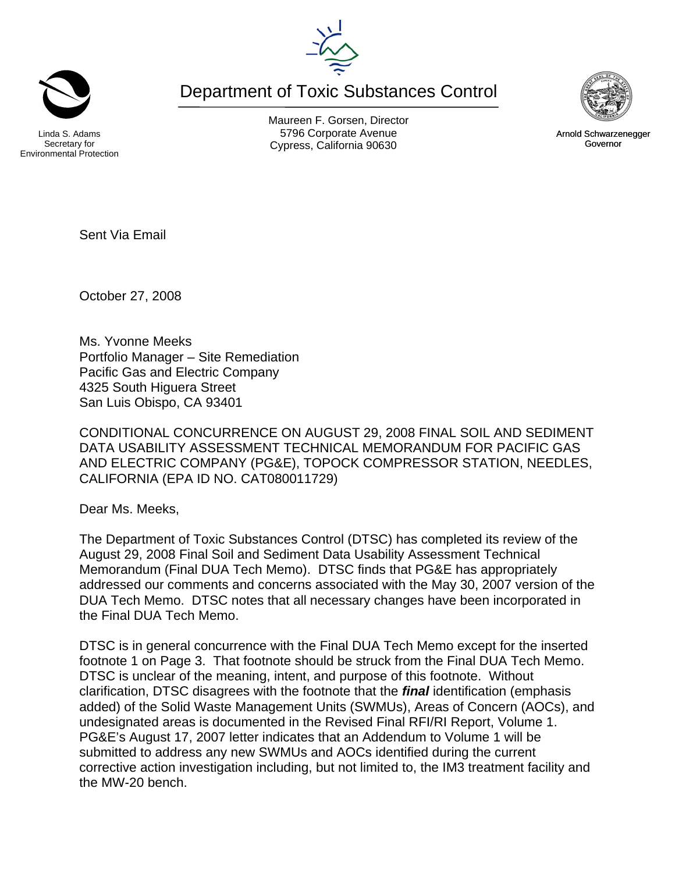

Ms. Yvonne Meeks Portfolio Manager – Site Remediation Pacific Gas and Electric Company 4325 South Higuera Street San Luis Obispo, CA 93401

CONDITIONAL CONCURRENCE ON AUGUST 29, 2008 FINAL SOIL AND SEDIMENT DATA USABILITY ASSESSMENT TECHNICAL MEMORANDUM FOR PACIFIC GAS AND ELECTRIC COMPANY (PG&E), TOPOCK COMPRESSOR STATION, NEEDLES, CALIFORNIA (EPA ID NO. CAT080011729)

Dear Ms. Meeks,

Sent Via Email

October 27, 2008

The Department of Toxic Substances Control (DTSC) has completed its review of the August 29, 2008 Final Soil and Sediment Data Usability Assessment Technical Memorandum (Final DUA Tech Memo). DTSC finds that PG&E has appropriately addressed our comments and concerns associated with the May 30, 2007 version of the DUA Tech Memo. DTSC notes that all necessary changes have been incorporated in the Final DUA Tech Memo.

DTSC is in general concurrence with the Final DUA Tech Memo except for the inserted footnote 1 on Page 3. That footnote should be struck from the Final DUA Tech Memo. DTSC is unclear of the meaning, intent, and purpose of this footnote. Without clarification, DTSC disagrees with the footnote that the *final* identification (emphasis added) of the Solid Waste Management Units (SWMUs), Areas of Concern (AOCs), and undesignated areas is documented in the Revised Final RFI/RI Report, Volume 1. PG&E's August 17, 2007 letter indicates that an Addendum to Volume 1 will be submitted to address any new SWMUs and AOCs identified during the current corrective action investigation including, but not limited to, the IM3 treatment facility and the MW-20 bench.

Secretary for Environmental Protection

Maureen F. Gorsen, Director Linda S. Adams **Example 20 Constructs** S796 Corporate Avenu Cypress, California 90630 Governor

Department of Toxic Substances Control





Arnold Schwarzenegger